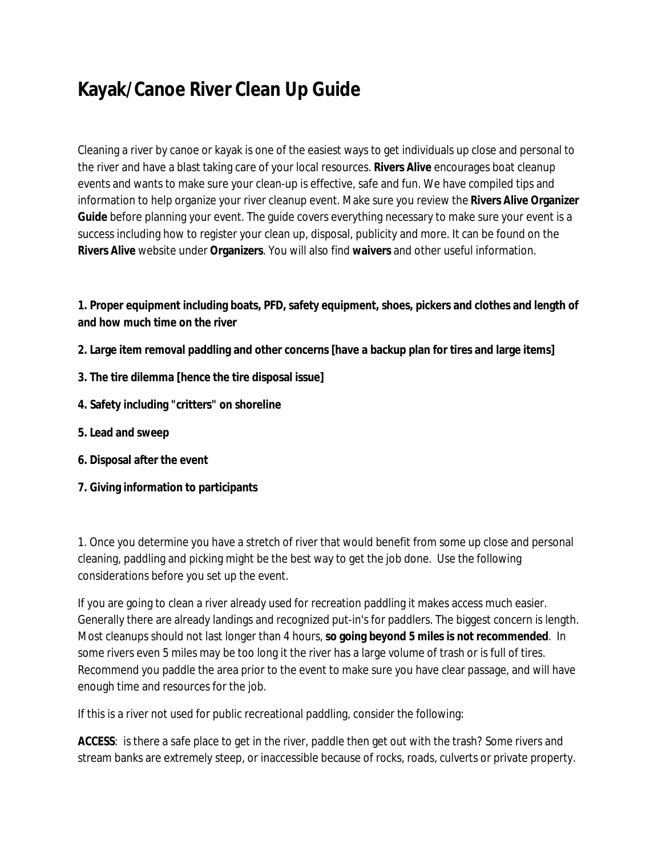# **Kayak/Canoe River Clean Up Guide**

Cleaning a river by canoe or kayak is one of the easiest ways to get individuals up close and personal to the river and have a blast taking care of your local resources. **Rivers Alive** encourages boat cleanup events and wants to make sure your clean-up is effective, safe and fun. We have compiled tips and information to help organize your river cleanup event. Make sure you review the **Rivers Alive Organizer Guide** before planning your event. The guide covers everything necessary to make sure your event is a success including how to register your clean up, disposal, publicity and more. It can be found on the **Rivers Alive** website under **Organizers**. You will also find **waivers** and other useful information.

**1. Proper equipment including boats, PFD, safety equipment, shoes, pickers and clothes and length of and how much time on the river** 

- **2. Large item removal paddling and other concerns [have a backup plan for tires and large items]**
- **3. The tire dilemma [hence the tire disposal issue]**
- **4. Safety including "critters" on shoreline**
- **5. Lead and sweep**
- **6. Disposal after the event**
- **7. Giving information to participants**

1. Once you determine you have a stretch of river that would benefit from some up close and personal cleaning, paddling and picking might be the best way to get the job done. Use the following considerations before you set up the event.

If you are going to clean a river already used for recreation paddling it makes access much easier. Generally there are already landings and recognized put-in's for paddlers. The biggest concern is length. Most cleanups should not last longer than 4 hours, **so going beyond 5 miles is not recommended**. In some rivers even 5 miles may be too long it the river has a large volume of trash or is full of tires. Recommend you paddle the area prior to the event to make sure you have clear passage, and will have enough time and resources for the job.

If this is a river not used for public recreational paddling, consider the following:

**ACCESS**: is there a safe place to get in the river, paddle then get out with the trash? Some rivers and stream banks are extremely steep, or inaccessible because of rocks, roads, culverts or private property.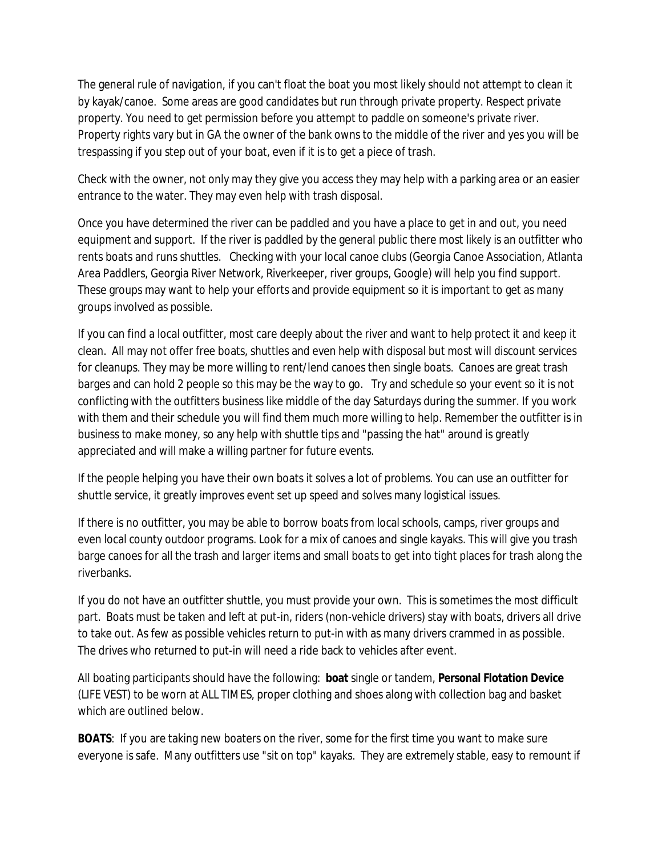The general rule of navigation, if you can't float the boat you most likely should not attempt to clean it by kayak/canoe. Some areas are good candidates but run through private property. Respect private property. You need to get permission before you attempt to paddle on someone's private river. Property rights vary but in GA the owner of the bank owns to the middle of the river and yes you will be trespassing if you step out of your boat, even if it is to get a piece of trash.

Check with the owner, not only may they give you access they may help with a parking area or an easier entrance to the water. They may even help with trash disposal.

Once you have determined the river can be paddled and you have a place to get in and out, you need equipment and support. If the river is paddled by the general public there most likely is an outfitter who rents boats and runs shuttles. Checking with your local canoe clubs (Georgia Canoe Association, Atlanta Area Paddlers, Georgia River Network, Riverkeeper, river groups, Google) will help you find support. These groups may want to help your efforts and provide equipment so it is important to get as many groups involved as possible.

If you can find a local outfitter, most care deeply about the river and want to help protect it and keep it clean. All may not offer free boats, shuttles and even help with disposal but most will discount services for cleanups. They may be more willing to rent/lend canoes then single boats. Canoes are great trash barges and can hold 2 people so this may be the way to go. Try and schedule so your event so it is not conflicting with the outfitters business like middle of the day Saturdays during the summer. If you work with them and their schedule you will find them much more willing to help. Remember the outfitter is in business to make money, so any help with shuttle tips and "passing the hat" around is greatly appreciated and will make a willing partner for future events.

If the people helping you have their own boats it solves a lot of problems. You can use an outfitter for shuttle service, it greatly improves event set up speed and solves many logistical issues.

If there is no outfitter, you may be able to borrow boats from local schools, camps, river groups and even local county outdoor programs. Look for a mix of canoes and single kayaks. This will give you trash barge canoes for all the trash and larger items and small boats to get into tight places for trash along the riverbanks.

If you do not have an outfitter shuttle, you must provide your own. This is sometimes the most difficult part. Boats must be taken and left at put-in, riders (non-vehicle drivers) stay with boats, drivers all drive to take out. As few as possible vehicles return to put-in with as many drivers crammed in as possible. The drives who returned to put-in will need a ride back to vehicles after event.

All boating participants should have the following: **boat** single or tandem, **Personal Flotation Device**  (LIFE VEST) to be worn at ALL TIMES, proper clothing and shoes along with collection bag and basket which are outlined below.

**BOATS**: If you are taking new boaters on the river, some for the first time you want to make sure everyone is safe. Many outfitters use "sit on top" kayaks. They are extremely stable, easy to remount if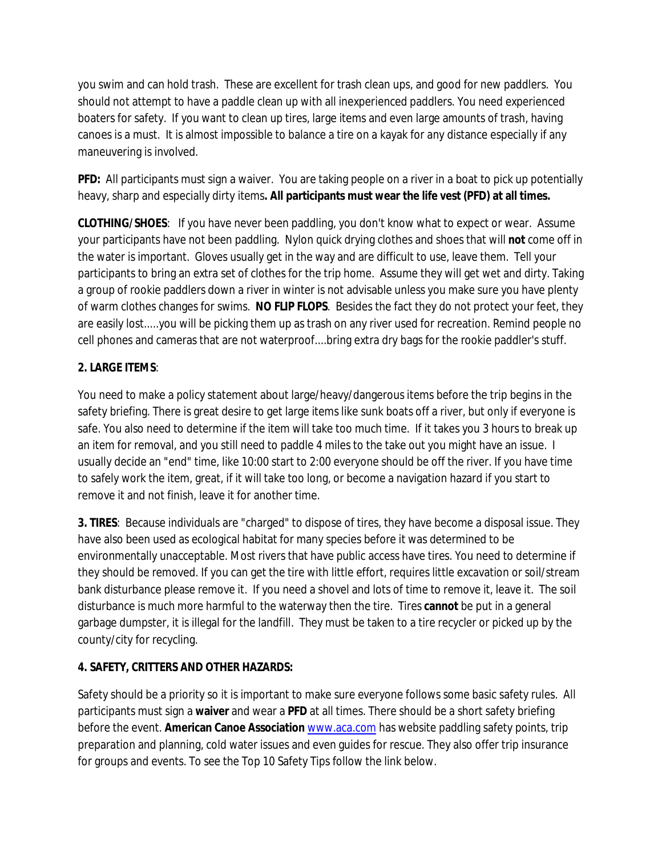you swim and can hold trash. These are excellent for trash clean ups, and good for new paddlers. You should not attempt to have a paddle clean up with all inexperienced paddlers. You need experienced boaters for safety. If you want to clean up tires, large items and even large amounts of trash, having canoes is a must. It is almost impossible to balance a tire on a kayak for any distance especially if any maneuvering is involved.

**PFD:** All participants must sign a waiver. You are taking people on a river in a boat to pick up potentially heavy, sharp and especially dirty items**. All participants must wear the life vest (PFD) at all times.** 

**CLOTHING/SHOES**: If you have never been paddling, you don't know what to expect or wear. Assume your participants have not been paddling. Nylon quick drying clothes and shoes that will **not** come off in the water is important. Gloves usually get in the way and are difficult to use, leave them. Tell your participants to bring an extra set of clothes for the trip home. Assume they will get wet and dirty. Taking a group of rookie paddlers down a river in winter is not advisable unless you make sure you have plenty of warm clothes changes for swims. **NO FLIP FLOPS**. Besides the fact they do not protect your feet, they are easily lost.....you will be picking them up as trash on any river used for recreation. Remind people no cell phones and cameras that are not waterproof....bring extra dry bags for the rookie paddler's stuff.

# **2. LARGE ITEMS**:

You need to make a policy statement about large/heavy/dangerous items before the trip begins in the safety briefing. There is great desire to get large items like sunk boats off a river, but only if everyone is safe. You also need to determine if the item will take too much time. If it takes you 3 hours to break up an item for removal, and you still need to paddle 4 miles to the take out you might have an issue. I usually decide an "end" time, like 10:00 start to 2:00 everyone should be off the river. If you have time to safely work the item, great, if it will take too long, or become a navigation hazard if you start to remove it and not finish, leave it for another time.

**3. TIRES**: Because individuals are "charged" to dispose of tires, they have become a disposal issue. They have also been used as ecological habitat for many species before it was determined to be environmentally unacceptable. Most rivers that have public access have tires. You need to determine if they should be removed. If you can get the tire with little effort, requires little excavation or soil/stream bank disturbance please remove it. If you need a shovel and lots of time to remove it, leave it. The soil disturbance is much more harmful to the waterway then the tire. Tires **cannot** be put in a general garbage dumpster, it is illegal for the landfill. They must be taken to a tire recycler or picked up by the county/city for recycling.

## **4. SAFETY, CRITTERS AND OTHER HAZARDS:**

Safety should be a priority so it is important to make sure everyone follows some basic safety rules. All participants must sign a **waiver** and wear a **PFD** at all times. There should be a short safety briefing before the event. **American Canoe Association** [www.aca.com](http://www.aca.com) has website paddling safety points, trip preparation and planning, cold water issues and even guides for rescue. They also offer trip insurance for groups and events. To see the Top 10 Safety Tips follow the link below.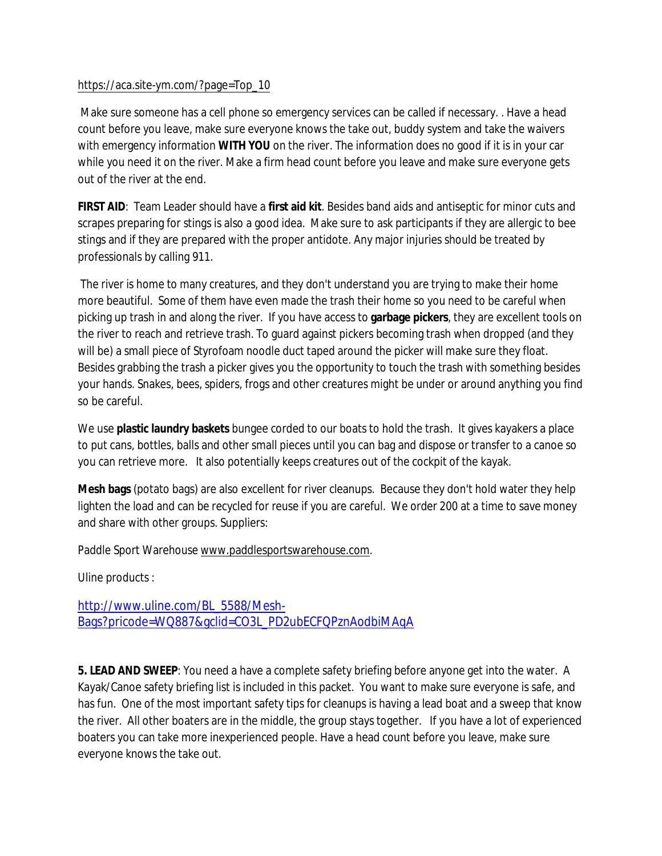## [https://aca.site-ym.com/?page=Top\\_10](https://aca.site-ym.com/?page=Top_10)

 Make sure someone has a cell phone so emergency services can be called if necessary. . Have a head count before you leave, make sure everyone knows the take out, buddy system and take the waivers with emergency information **WITH YOU** on the river. The information does no good if it is in your car while you need it on the river. Make a firm head count before you leave and make sure everyone gets out of the river at the end.

**FIRST AID**: Team Leader should have a **first aid kit**. Besides band aids and antiseptic for minor cuts and scrapes preparing for stings is also a good idea. Make sure to ask participants if they are allergic to bee stings and if they are prepared with the proper antidote. Any major injuries should be treated by professionals by calling 911.

 The river is home to many creatures, and they don't understand you are trying to make their home more beautiful. Some of them have even made the trash their home so you need to be careful when picking up trash in and along the river. If you have access to **garbage pickers**, they are excellent tools on the river to reach and retrieve trash. To guard against pickers becoming trash when dropped (and they will be) a small piece of Styrofoam noodle duct taped around the picker will make sure they float. Besides grabbing the trash a picker gives you the opportunity to touch the trash with something besides your hands. Snakes, bees, spiders, frogs and other creatures might be under or around anything you find so be careful.

We use **plastic laundry baskets** bungee corded to our boats to hold the trash. It gives kayakers a place to put cans, bottles, balls and other small pieces until you can bag and dispose or transfer to a canoe so you can retrieve more. It also potentially keeps creatures out of the cockpit of the kayak.

**Mesh bags** (potato bags) are also excellent for river cleanups. Because they don't hold water they help lighten the load and can be recycled for reuse if you are careful. We order 200 at a time to save money and share with other groups. Suppliers:

Paddle Sport Warehouse [www.paddlesportswarehouse.com](http://www.paddlesportswarehouse.com).

Uline products :

[http://www.uline.com/BL\\_5588/Mesh-](http://www.uline.com/BL_5588/Mesh)Bags?pricode=WQ887&gclid=CO3L\_PD2ubECFQPznAodbiMAqA

**5. LEAD AND SWEEP**: You need a have a complete safety briefing before anyone get into the water. A Kayak/Canoe safety briefing list is included in this packet. You want to make sure everyone is safe, and has fun. One of the most important safety tips for cleanups is having a lead boat and a sweep that know the river. All other boaters are in the middle, the group stays together. If you have a lot of experienced boaters you can take more inexperienced people. Have a head count before you leave, make sure everyone knows the take out.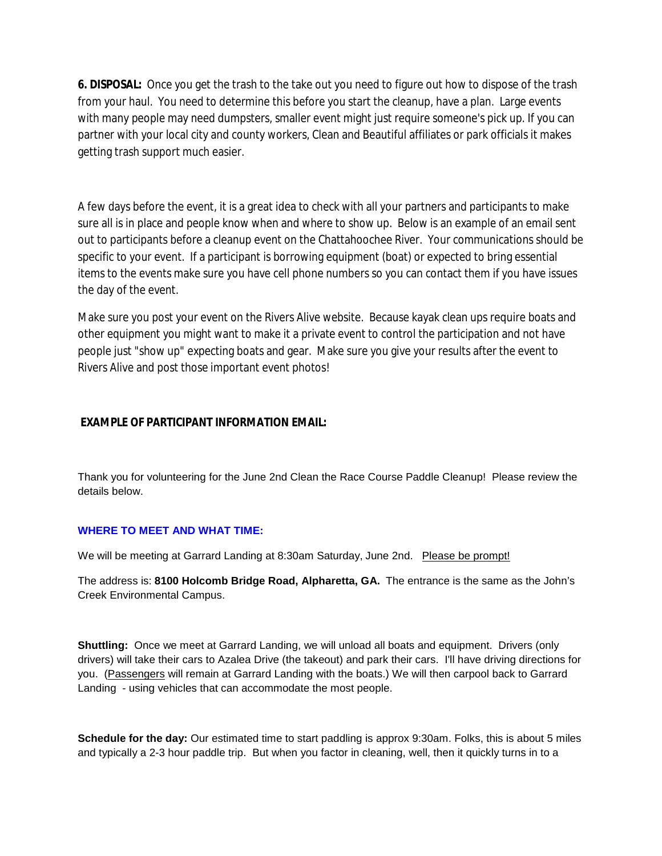**6. DISPOSAL:** Once you get the trash to the take out you need to figure out how to dispose of the trash from your haul. You need to determine this before you start the cleanup, have a plan. Large events with many people may need dumpsters, smaller event might just require someone's pick up. If you can partner with your local city and county workers, Clean and Beautiful affiliates or park officials it makes getting trash support much easier.

A few days before the event, it is a great idea to check with all your partners and participants to make sure all is in place and people know when and where to show up. Below is an example of an email sent out to participants before a cleanup event on the Chattahoochee River. Your communications should be specific to your event. If a participant is borrowing equipment (boat) or expected to bring essential items to the events make sure you have cell phone numbers so you can contact them if you have issues the day of the event.

Make sure you post your event on the Rivers Alive website. Because kayak clean ups require boats and other equipment you might want to make it a private event to control the participation and not have people just "show up" expecting boats and gear. Make sure you give your results after the event to Rivers Alive and post those important event photos!

## **EXAMPLE OF PARTICIPANT INFORMATION EMAIL:**

Thank you for volunteering for the June 2nd Clean the Race Course Paddle Cleanup! Please review the details below.

#### **WHERE TO MEET AND WHAT TIME:**

We will be meeting at Garrard Landing at 8:30am Saturday, June 2nd. Please be prompt!

The address is: **8100 Holcomb Bridge Road, Alpharetta, GA.** The entrance is the same as the John's Creek Environmental Campus.

**Shuttling:** Once we meet at Garrard Landing, we will unload all boats and equipment. Drivers (only drivers) will take their cars to Azalea Drive (the takeout) and park their cars. I'll have driving directions for you. (Passengers will remain at Garrard Landing with the boats.) We will then carpool back to Garrard Landing - using vehicles that can accommodate the most people.

**Schedule for the day:** Our estimated time to start paddling is approx 9:30am. Folks, this is about 5 miles and typically a 2-3 hour paddle trip. But when you factor in cleaning, well, then it quickly turns in to a